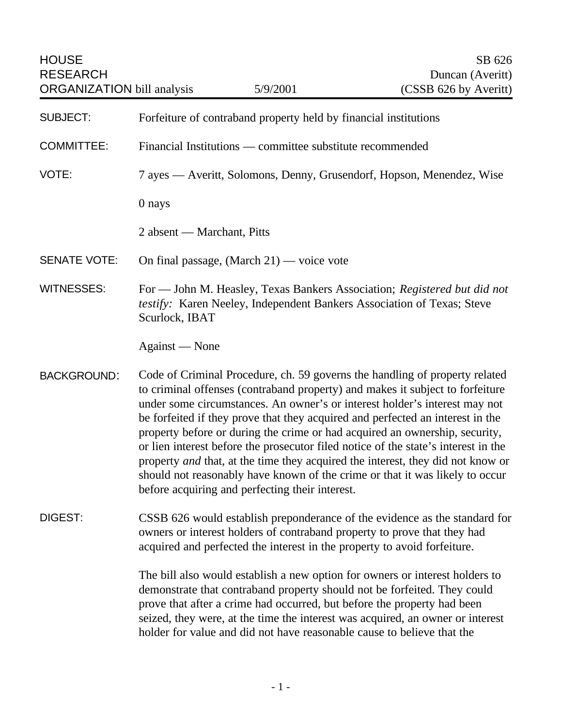| <b>HOUSE</b><br><b>RESEARCH</b><br><b>ORGANIZATION</b> bill analysis |                                                                                                                                                                                                                                                                                                                                                                                                                                                                                                                                                                                                                                                                                                                         | 5/9/2001                                                                 | SB 626<br>Duncan (Averitt)<br>(CSSB 626 by Averitt)                                                                                                                                                                                                                                                                   |
|----------------------------------------------------------------------|-------------------------------------------------------------------------------------------------------------------------------------------------------------------------------------------------------------------------------------------------------------------------------------------------------------------------------------------------------------------------------------------------------------------------------------------------------------------------------------------------------------------------------------------------------------------------------------------------------------------------------------------------------------------------------------------------------------------------|--------------------------------------------------------------------------|-----------------------------------------------------------------------------------------------------------------------------------------------------------------------------------------------------------------------------------------------------------------------------------------------------------------------|
| <b>SUBJECT:</b>                                                      | Forfeiture of contraband property held by financial institutions                                                                                                                                                                                                                                                                                                                                                                                                                                                                                                                                                                                                                                                        |                                                                          |                                                                                                                                                                                                                                                                                                                       |
| <b>COMMITTEE:</b>                                                    | Financial Institutions — committee substitute recommended                                                                                                                                                                                                                                                                                                                                                                                                                                                                                                                                                                                                                                                               |                                                                          |                                                                                                                                                                                                                                                                                                                       |
| VOTE:                                                                | 7 ayes — Averitt, Solomons, Denny, Grusendorf, Hopson, Menendez, Wise                                                                                                                                                                                                                                                                                                                                                                                                                                                                                                                                                                                                                                                   |                                                                          |                                                                                                                                                                                                                                                                                                                       |
|                                                                      | 0 nays                                                                                                                                                                                                                                                                                                                                                                                                                                                                                                                                                                                                                                                                                                                  |                                                                          |                                                                                                                                                                                                                                                                                                                       |
|                                                                      | 2 absent — Marchant, Pitts                                                                                                                                                                                                                                                                                                                                                                                                                                                                                                                                                                                                                                                                                              |                                                                          |                                                                                                                                                                                                                                                                                                                       |
| <b>SENATE VOTE:</b>                                                  |                                                                                                                                                                                                                                                                                                                                                                                                                                                                                                                                                                                                                                                                                                                         | On final passage, $(March 21)$ — voice vote                              |                                                                                                                                                                                                                                                                                                                       |
| <b>WITNESSES:</b>                                                    | Scurlock, IBAT                                                                                                                                                                                                                                                                                                                                                                                                                                                                                                                                                                                                                                                                                                          |                                                                          | For — John M. Heasley, Texas Bankers Association; Registered but did not<br>testify: Karen Neeley, Independent Bankers Association of Texas; Steve                                                                                                                                                                    |
|                                                                      | Against — None                                                                                                                                                                                                                                                                                                                                                                                                                                                                                                                                                                                                                                                                                                          |                                                                          |                                                                                                                                                                                                                                                                                                                       |
| <b>BACKGROUND:</b>                                                   | Code of Criminal Procedure, ch. 59 governs the handling of property related<br>to criminal offenses (contraband property) and makes it subject to forfeiture<br>under some circumstances. An owner's or interest holder's interest may not<br>be forfeited if they prove that they acquired and perfected an interest in the<br>property before or during the crime or had acquired an ownership, security,<br>or lien interest before the prosecutor filed notice of the state's interest in the<br>property and that, at the time they acquired the interest, they did not know or<br>should not reasonably have known of the crime or that it was likely to occur<br>before acquiring and perfecting their interest. |                                                                          |                                                                                                                                                                                                                                                                                                                       |
| <b>DIGEST:</b>                                                       |                                                                                                                                                                                                                                                                                                                                                                                                                                                                                                                                                                                                                                                                                                                         | acquired and perfected the interest in the property to avoid forfeiture. | CSSB 626 would establish preponderance of the evidence as the standard for<br>owners or interest holders of contraband property to prove that they had                                                                                                                                                                |
|                                                                      |                                                                                                                                                                                                                                                                                                                                                                                                                                                                                                                                                                                                                                                                                                                         | holder for value and did not have reasonable cause to believe that the   | The bill also would establish a new option for owners or interest holders to<br>demonstrate that contraband property should not be forfeited. They could<br>prove that after a crime had occurred, but before the property had been<br>seized, they were, at the time the interest was acquired, an owner or interest |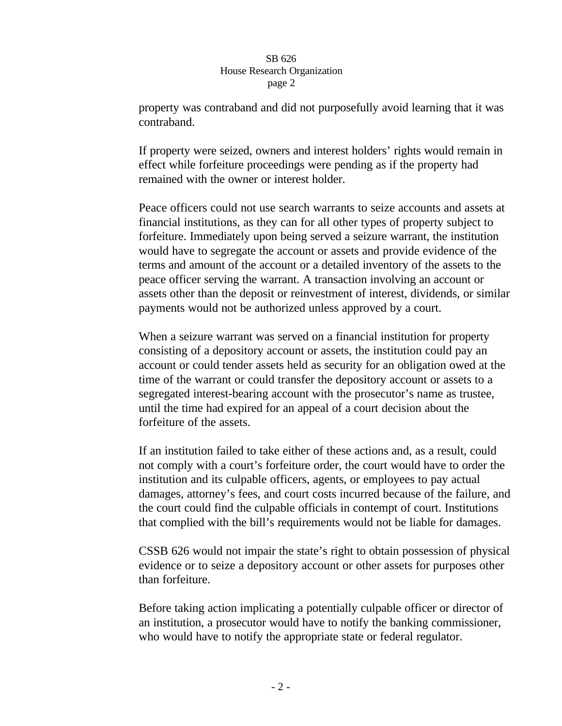## SB 626 House Research Organization page 2

property was contraband and did not purposefully avoid learning that it was contraband.

If property were seized, owners and interest holders' rights would remain in effect while forfeiture proceedings were pending as if the property had remained with the owner or interest holder.

Peace officers could not use search warrants to seize accounts and assets at financial institutions, as they can for all other types of property subject to forfeiture. Immediately upon being served a seizure warrant, the institution would have to segregate the account or assets and provide evidence of the terms and amount of the account or a detailed inventory of the assets to the peace officer serving the warrant. A transaction involving an account or assets other than the deposit or reinvestment of interest, dividends, or similar payments would not be authorized unless approved by a court.

When a seizure warrant was served on a financial institution for property consisting of a depository account or assets, the institution could pay an account or could tender assets held as security for an obligation owed at the time of the warrant or could transfer the depository account or assets to a segregated interest-bearing account with the prosecutor's name as trustee, until the time had expired for an appeal of a court decision about the forfeiture of the assets.

If an institution failed to take either of these actions and, as a result, could not comply with a court's forfeiture order, the court would have to order the institution and its culpable officers, agents, or employees to pay actual damages, attorney's fees, and court costs incurred because of the failure, and the court could find the culpable officials in contempt of court. Institutions that complied with the bill's requirements would not be liable for damages.

CSSB 626 would not impair the state's right to obtain possession of physical evidence or to seize a depository account or other assets for purposes other than forfeiture.

Before taking action implicating a potentially culpable officer or director of an institution, a prosecutor would have to notify the banking commissioner, who would have to notify the appropriate state or federal regulator.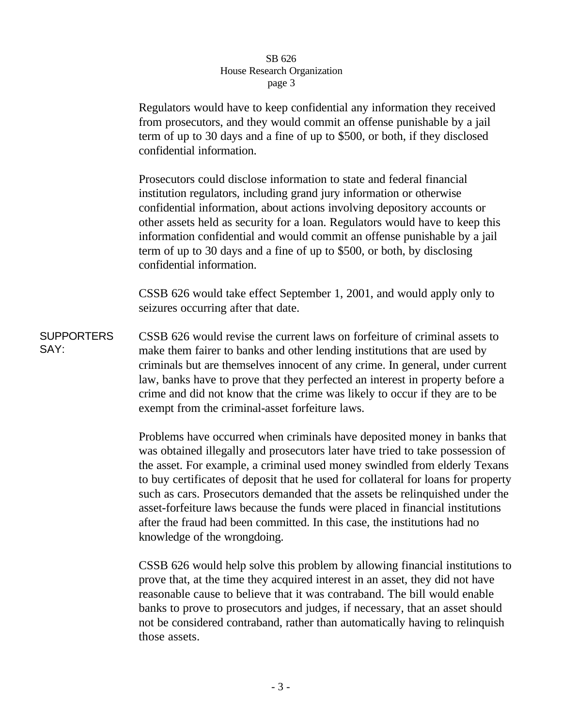## SB 626 House Research Organization page 3

Regulators would have to keep confidential any information they received from prosecutors, and they would commit an offense punishable by a jail term of up to 30 days and a fine of up to \$500, or both, if they disclosed confidential information.

Prosecutors could disclose information to state and federal financial institution regulators, including grand jury information or otherwise confidential information, about actions involving depository accounts or other assets held as security for a loan. Regulators would have to keep this information confidential and would commit an offense punishable by a jail term of up to 30 days and a fine of up to \$500, or both, by disclosing confidential information.

CSSB 626 would take effect September 1, 2001, and would apply only to seizures occurring after that date.

**SUPPORTERS** SAY: CSSB 626 would revise the current laws on forfeiture of criminal assets to make them fairer to banks and other lending institutions that are used by criminals but are themselves innocent of any crime. In general, under current law, banks have to prove that they perfected an interest in property before a crime and did not know that the crime was likely to occur if they are to be exempt from the criminal-asset forfeiture laws.

> Problems have occurred when criminals have deposited money in banks that was obtained illegally and prosecutors later have tried to take possession of the asset. For example, a criminal used money swindled from elderly Texans to buy certificates of deposit that he used for collateral for loans for property such as cars. Prosecutors demanded that the assets be relinquished under the asset-forfeiture laws because the funds were placed in financial institutions after the fraud had been committed. In this case, the institutions had no knowledge of the wrongdoing.

> CSSB 626 would help solve this problem by allowing financial institutions to prove that, at the time they acquired interest in an asset, they did not have reasonable cause to believe that it was contraband. The bill would enable banks to prove to prosecutors and judges, if necessary, that an asset should not be considered contraband, rather than automatically having to relinquish those assets.